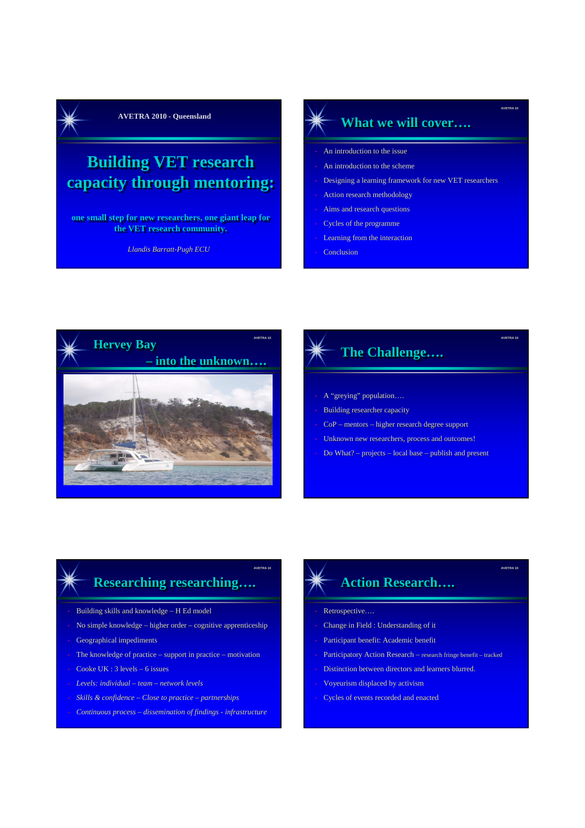

## **Building VET research capacity through mentoring:**

**one small step for new researchers, one giant leap for for the VET research community.**

*Llandis Barratt-Pugh ECU*

## **AVETRA 2010 - Queensland 2010 - Queensland 2010 - Queensland 2010 - What we will cover....**

**AVETRA 10**

**AVETRA 10**

**AVETRA 10**

- An introduction to the issue
- An introduction to the scheme
- Designing a learning framework for new VET researchers
- Action research methodology
- Aims and research questions
- Cycles of the programme
- Learning from the interaction
- Conclusion



# **The Challenge....**

- A "greying" population….
- Building researcher capacity
- CoP mentors higher research degree support
- Unknown new researchers, process and outcomes!
- Do What? projects local base publish and present

## **Researching researching Researching researching…. ….**

**AVETRA 10**

- Building skills and knowledge H Ed model
- No simple knowledge higher order cognitive apprenticeship
- Geographical impediments
- The knowledge of practice support in practice motivation
- Cooke UK : 3 levels 6 issues
- *Levels: individual – team – network levels*
- *Skills & confidence – Close to practice – partnerships*
- *Continuous process – dissemination of findings - infrastructure*

## **Action Research Action Research…. ….**

- Retrospective….
- Change in Field : Understanding of it
- Participant benefit: Academic benefit
- Participatory Action Research research fringe benefit tracked
- Distinction between directors and learners blurred.
- Voyeurism displaced by activism
- Cycles of events recorded and enacted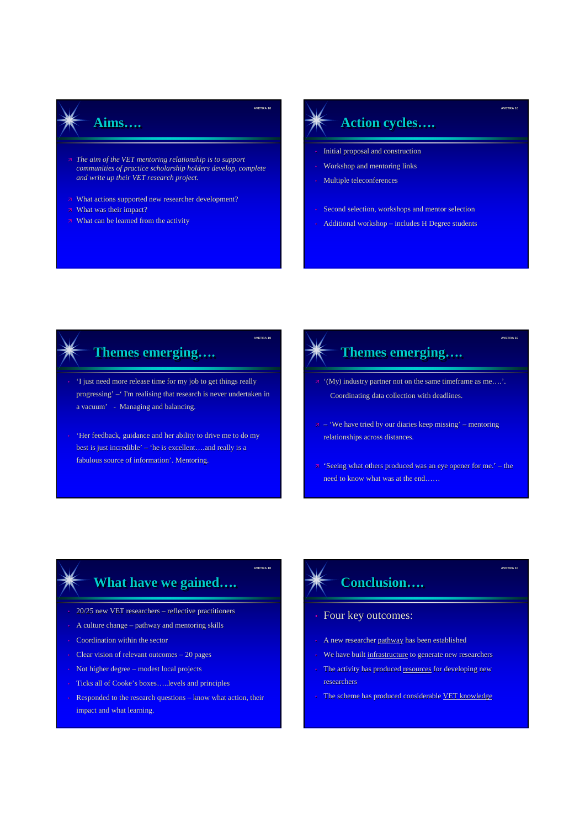#### **Aims Aims…. ….**

- *The aim of the VET mentoring relationship is to support communities of practice scholarship holders develop, complete and write up their VET research project.*
- **EXECUTE:** The What actions supported new researcher development?
- **7** What was their impact?
- **7** What can be learned from the activity

#### **Action cycles Action cycles…. ….**

**AVETRA 10**

**AVETRA 10**

**AVETRA 10**

- Initial proposal and construction
- Workshop and mentoring links
- Multiple teleconferences

**AVETRA 10**

**AVETRA 10**

**AVETRA 10**

- Second selection, workshops and mentor selection
- Additional workshop includes H Degree students

### **Themes emerging Themes emerging…. ….**

- 'I just need more release time for my job to get things really progressing' –' I'm realising that research is never undertaken in a vacuum' - Managing and balancing.
- 'Her feedback, guidance and her ability to drive me to do my best is just incredible' – 'he is excellent….and really is a fabulous source of information'. Mentoring.

#### **Themes emerging....**

- $\pi$  '(My) industry partner not on the same timeframe as me....'. Coordinating data collection with deadlines.
- $\bar{z}$  'We have tried by our diaries keep missing' mentoring relationships across distances.
- $\overline{z}$  'Seeing what others produced was an eye opener for me.' the need to know what was at the end……

## **What have we gained….**

- 20/25 new VET researchers reflective practitioners
- A culture change pathway and mentoring skills
- Coordination within the sector
- Clear vision of relevant outcomes 20 pages
- Not higher degree modest local projects
- Ticks all of Cooke's boxes…..levels and principles
- Responded to the research questions know what action, their impact and what learning.

## **Conclusion Conclusion…. ….**

#### • Four key outcomes:

- A new researcher pathway has been established
- We have built infrastructure to generate new researchers
- The activity has produced resources for developing new researchers
- The scheme has produced considerable VET knowledge